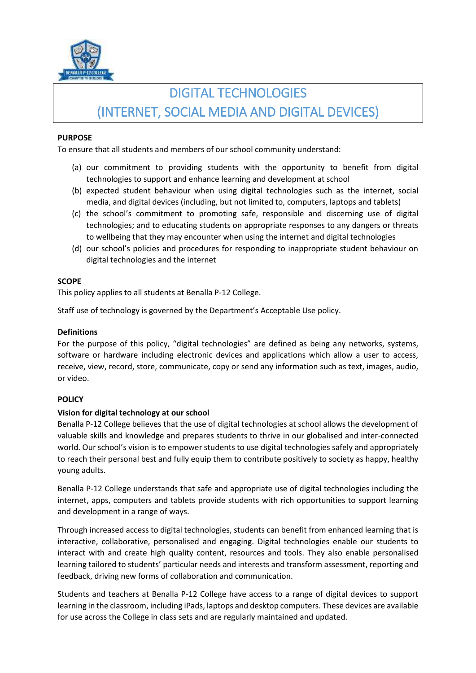

# DIGITAL TECHNOLOGIES (INTERNET, SOCIAL MEDIA AND DIGITAL DEVICES)

## **PURPOSE**

To ensure that all students and members of our school community understand:

- (a) our commitment to providing students with the opportunity to benefit from digital technologies to support and enhance learning and development at school
- (b) expected student behaviour when using digital technologies such as the internet, social media, and digital devices (including, but not limited to, computers, laptops and tablets)
- (c) the school's commitment to promoting safe, responsible and discerning use of digital technologies; and to educating students on appropriate responses to any dangers or threats to wellbeing that they may encounter when using the internet and digital technologies
- (d) our school's policies and procedures for responding to inappropriate student behaviour on digital technologies and the internet

## **SCOPE**

This policy applies to all students at Benalla P-12 College.

Staff use of technology is governed by the Department's Acceptable Use policy.

## **Definitions**

For the purpose of this policy, "digital technologies" are defined as being any networks, systems, software or hardware including electronic devices and applications which allow a user to access, receive, view, record, store, communicate, copy or send any information such as text, images, audio, or video.

#### **POLICY**

# **Vision for digital technology at our school**

Benalla P-12 College believes that the use of digital technologies at school allows the development of valuable skills and knowledge and prepares students to thrive in our globalised and inter-connected world. Our school's vision is to empower students to use digital technologies safely and appropriately to reach their personal best and fully equip them to contribute positively to society as happy, healthy young adults.

Benalla P-12 College understands that safe and appropriate use of digital technologies including the internet, apps, computers and tablets provide students with rich opportunities to support learning and development in a range of ways.

Through increased access to digital technologies, students can benefit from enhanced learning that is interactive, collaborative, personalised and engaging. Digital technologies enable our students to interact with and create high quality content, resources and tools. They also enable personalised learning tailored to students' particular needs and interests and transform assessment, reporting and feedback, driving new forms of collaboration and communication.

Students and teachers at Benalla P-12 College have access to a range of digital devices to support learning in the classroom, including iPads, laptops and desktop computers. These devices are available for use across the College in class sets and are regularly maintained and updated.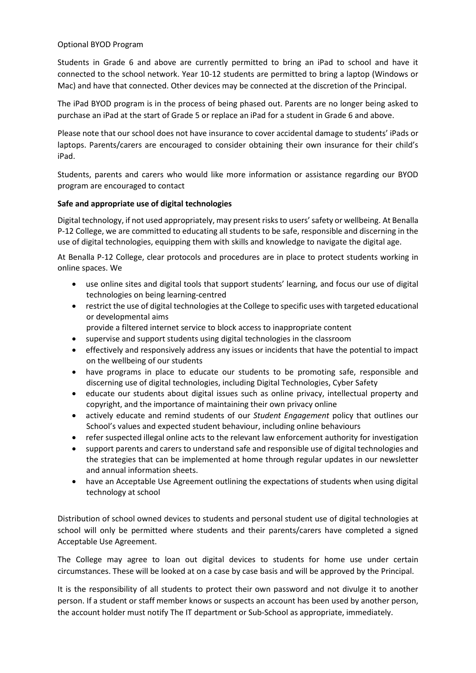## Optional BYOD Program

Students in Grade 6 and above are currently permitted to bring an iPad to school and have it connected to the school network. Year 10-12 students are permitted to bring a laptop (Windows or Mac) and have that connected. Other devices may be connected at the discretion of the Principal.

The iPad BYOD program is in the process of being phased out. Parents are no longer being asked to purchase an iPad at the start of Grade 5 or replace an iPad for a student in Grade 6 and above.

Please note that our school does not have insurance to cover accidental damage to students' iPads or laptops. Parents/carers are encouraged to consider obtaining their own insurance for their child's iPad.

Students, parents and carers who would like more information or assistance regarding our BYOD program are encouraged to contact

## **Safe and appropriate use of digital technologies**

Digital technology, if not used appropriately, may present risks to users' safety or wellbeing. At Benalla P-12 College, we are committed to educating all students to be safe, responsible and discerning in the use of digital technologies, equipping them with skills and knowledge to navigate the digital age.

At Benalla P-12 College, clear protocols and procedures are in place to protect students working in online spaces. We

- use online sites and digital tools that support students' learning, and focus our use of digital technologies on being learning-centred
- restrict the use of digital technologies at the College to specific uses with targeted educational or developmental aims
	- provide a filtered internet service to block access to inappropriate content
- supervise and support students using digital technologies in the classroom
- effectively and responsively address any issues or incidents that have the potential to impact on the wellbeing of our students
- have programs in place to educate our students to be promoting safe, responsible and discerning use of digital technologies, including Digital Technologies, Cyber Safety
- educate our students about digital issues such as online privacy, intellectual property and copyright, and the importance of maintaining their own privacy online
- actively educate and remind students of our *Student Engagement* policy that outlines our School's values and expected student behaviour, including online behaviours
- refer suspected illegal online acts to the relevant law enforcement authority for investigation
- support parents and carers to understand safe and responsible use of digital technologies and the strategies that can be implemented at home through regular updates in our newsletter and annual information sheets.
- have an Acceptable Use Agreement outlining the expectations of students when using digital technology at school

Distribution of school owned devices to students and personal student use of digital technologies at school will only be permitted where students and their parents/carers have completed a signed Acceptable Use Agreement.

The College may agree to loan out digital devices to students for home use under certain circumstances. These will be looked at on a case by case basis and will be approved by the Principal.

It is the responsibility of all students to protect their own password and not divulge it to another person. If a student or staff member knows or suspects an account has been used by another person, the account holder must notify The IT department or Sub-School as appropriate, immediately.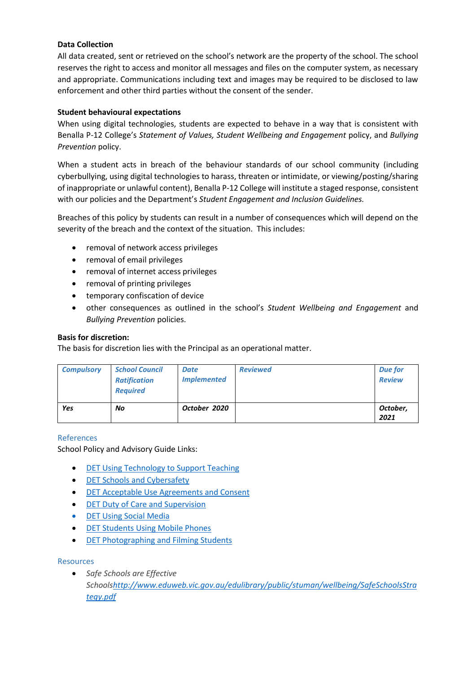# **Data Collection**

All data created, sent or retrieved on the school's network are the property of the school. The school reserves the right to access and monitor all messages and files on the computer system, as necessary and appropriate. Communications including text and images may be required to be disclosed to law enforcement and other third parties without the consent of the sender.

# **Student behavioural expectations**

When using digital technologies, students are expected to behave in a way that is consistent with Benalla P-12 College's *Statement of Values, Student Wellbeing and Engagement* policy, and *Bullying Prevention* policy.

When a student acts in breach of the behaviour standards of our school community (including cyberbullying, using digital technologies to harass, threaten or intimidate, or viewing/posting/sharing of inappropriate or unlawful content), Benalla P-12 College will institute a staged response, consistent with our policies and the Department's *Student Engagement and Inclusion Guidelines.*

Breaches of this policy by students can result in a number of consequences which will depend on the severity of the breach and the context of the situation. This includes:

- removal of network access privileges
- removal of email privileges
- removal of internet access privileges
- removal of printing privileges
- temporary confiscation of device
- other consequences as outlined in the school's *Student Wellbeing and Engagement* and *Bullying Prevention* policies.

## **Basis for discretion:**

The basis for discretion lies with the Principal as an operational matter.

| <b>Compulsory</b> | <b>School Council</b><br><b>Ratification</b><br><b>Required</b> | <b>Date</b><br><b>Implemented</b> | <b>Reviewed</b> | <b>Due for</b><br><b>Review</b> |
|-------------------|-----------------------------------------------------------------|-----------------------------------|-----------------|---------------------------------|
| Yes               | No                                                              | October 2020                      |                 | October,<br>2021                |

#### References

School Policy and Advisory Guide Links:

- [DET Using Technology to Support Teaching](https://www.education.vic.gov.au/school/principals/spag/curriculum/pages/techsupport.aspx)
- [DET Schools and Cybersafety](https://www.education.vic.gov.au/about/programs/bullystoppers/Pages/princyber.aspx)
- [DET Acceptable Use Agreements and Consent](https://www.education.vic.gov.au/school/teachers/management/infrastructure/Pages/acceptableuse.aspx)
- [DET Duty of Care and Supervision](https://www.education.vic.gov.au/about/programs/bullystoppers/Pages/lolconsent.aspx)
- [DET Using Social Media](https://www.education.vic.gov.au/school/principals/spag/governance/pages/socialmedia.aspx)
- **[DET Students Using Mobile Phones](https://www.education.vic.gov.au/school/principals/spag/safety/pages/mobilephones.aspx)**
- [DET Photographing and Filming Students](https://www.education.vic.gov.au/school/principals/spag/safety/Pages/photoandfilm.aspx)

#### **Resources**

 *Safe Schools are Effective School[shttp://www.eduweb.vic.gov.au/edulibrary/public/stuman/wellbeing/SafeSchoolsStra](http://www.eduweb.vic.gov.au/edulibrary/public/stuman/wellbeing/SafeSchoolsStrategy.pdf) [tegy.pdf](http://www.eduweb.vic.gov.au/edulibrary/public/stuman/wellbeing/SafeSchoolsStrategy.pdf)*